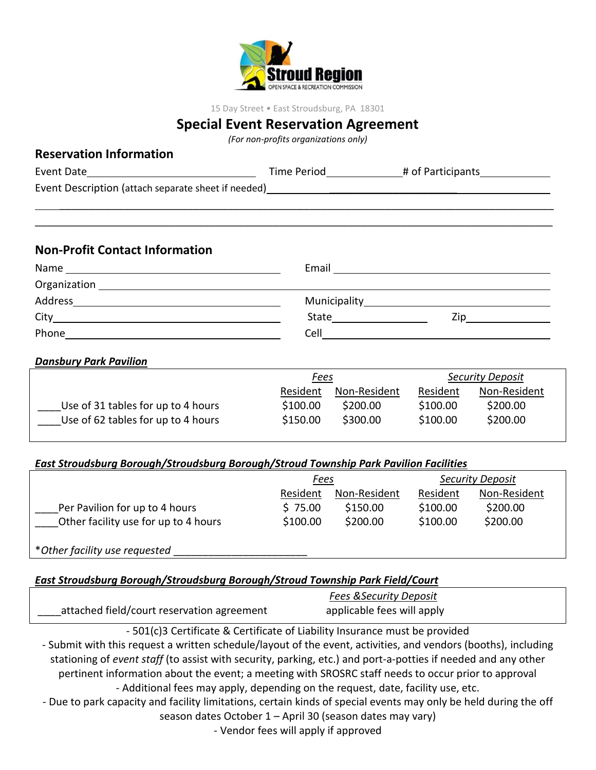

15 Day Street • East Stroudsburg, PA 18301

# **Special Event Reservation Agreement**

*(For non-profits organizations only)*

|                                                                                                                                                                                                                                |  | Time Period <b>Figure 2.1 Figure 2.1 Figure 2.1 Figure 2.1 Figure 2.1 Figure 2.1 Figure 2.1 Figure 2.1 Figure 2.1 Figure 2.1 Figure 2.1 Figure 2.1 Figure 2.1 Figure 2.1 Figure 2.1 Figure 2.1 Figure 2.1 Figure 2.1 Figure 2.1 </b> |  |  |  |
|--------------------------------------------------------------------------------------------------------------------------------------------------------------------------------------------------------------------------------|--|--------------------------------------------------------------------------------------------------------------------------------------------------------------------------------------------------------------------------------------|--|--|--|
| Event Description (attach separate sheet if needed) https://www.com/community-state of the community of the community of the community of the community of the community of the community of the community of the community of |  |                                                                                                                                                                                                                                      |  |  |  |
|                                                                                                                                                                                                                                |  |                                                                                                                                                                                                                                      |  |  |  |
| <b>Non-Profit Contact Information</b>                                                                                                                                                                                          |  |                                                                                                                                                                                                                                      |  |  |  |
|                                                                                                                                                                                                                                |  |                                                                                                                                                                                                                                      |  |  |  |
|                                                                                                                                                                                                                                |  |                                                                                                                                                                                                                                      |  |  |  |
|                                                                                                                                                                                                                                |  |                                                                                                                                                                                                                                      |  |  |  |

| Address | Municipality |  |
|---------|--------------|--|
| City    | State        |  |
| Phone   | Cell         |  |

#### *Dansbury Park Pavilion*

**Reservation Information**

|                                    | <u>Fees</u> |              | <b>Security Deposit</b> |              |
|------------------------------------|-------------|--------------|-------------------------|--------------|
|                                    | Resident    | Non-Resident | Resident                | Non-Resident |
| Use of 31 tables for up to 4 hours | \$100.00    | \$200.00     | \$100.00                | \$200.00     |
| Use of 62 tables for up to 4 hours | \$150.00    | \$300.00     | \$100.00                | \$200.00     |

### *East Stroudsburg Borough/Stroudsburg Borough/Stroud Township Park Pavilion Facilities*

|                                      | <u>Fees</u> |              | <b>Security Deposit</b> |              |
|--------------------------------------|-------------|--------------|-------------------------|--------------|
|                                      | Resident    | Non-Resident | Resident                | Non-Resident |
| Per Pavilion for up to 4 hours       | \$75.00     | \$150.00     | \$100.00                | \$200.00     |
| Other facility use for up to 4 hours | \$100.00    | \$200.00     | \$100.00                | \$200.00     |
| *Other facility use requested        |             |              |                         |              |

## *East Stroudsburg Borough/Stroudsburg Borough/Stroud Township Park Field/Court*

|                                            | <b>Fees &amp; Security Deposit</b> |  |
|--------------------------------------------|------------------------------------|--|
| attached field/court reservation agreement | applicable fees will apply         |  |

- 501(c)3 Certificate & Certificate of Liability Insurance must be provided - Submit with this request a written schedule/layout of the event, activities, and vendors (booths), including stationing of *event staff* (to assist with security, parking, etc.) and port-a-potties if needed and any other pertinent information about the event; a meeting with SROSRC staff needs to occur prior to approval - Additional fees may apply, depending on the request, date, facility use, etc.

- Due to park capacity and facility limitations, certain kinds of special events may only be held during the off season dates October 1 – April 30 (season dates may vary)

- Vendor fees will apply if approved